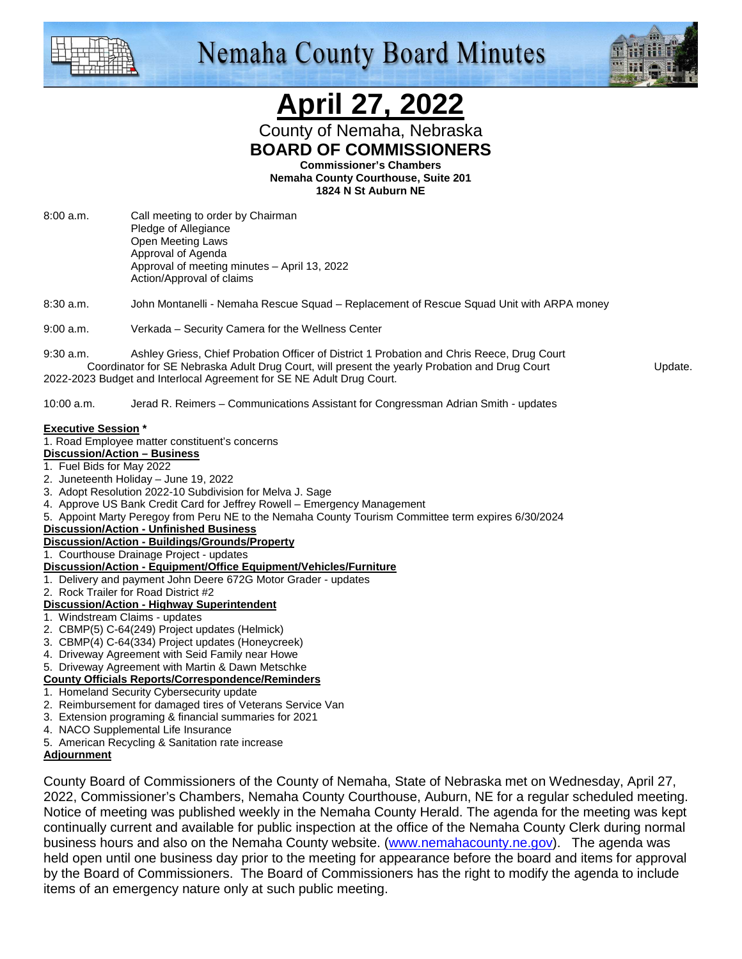

## **Nemaha County Board Minutes**



## **April 27, 2022**

County of Nemaha, Nebraska **BOARD OF COMMISSIONERS** 

**Commissioner's Chambers** 

**Nemaha County Courthouse, Suite 201 1824 N St Auburn NE** 

8:00 a.m. Call meeting to order by Chairman Pledge of Allegiance Open Meeting Laws Approval of Agenda Approval of meeting minutes – April 13, 2022 Action/Approval of claims

8:30 a.m. John Montanelli - Nemaha Rescue Squad – Replacement of Rescue Squad Unit with ARPA money

9:00 a.m. Verkada – Security Camera for the Wellness Center

9:30 a.m. Ashley Griess, Chief Probation Officer of District 1 Probation and Chris Reece, Drug Court Coordinator for SE Nebraska Adult Drug Court, will present the yearly Probation and Drug Court Update. 2022-2023 Budget and Interlocal Agreement for SE NE Adult Drug Court.

10:00 a.m. Jerad R. Reimers – Communications Assistant for Congressman Adrian Smith - updates

#### **Executive Session \***

#### 1. Road Employee matter constituent's concerns

- **Discussion/Action Business**
- 1. Fuel Bids for May 2022
- 2. Juneteenth Holiday June 19, 2022
- 3. Adopt Resolution 2022-10 Subdivision for Melva J. Sage
- 4. Approve US Bank Credit Card for Jeffrey Rowell Emergency Management
- 5. Appoint Marty Peregoy from Peru NE to the Nemaha County Tourism Committee term expires 6/30/2024

#### **Discussion/Action - Unfinished Business**

**Discussion/Action - Buildings/Grounds/Property**

## 1. Courthouse Drainage Project - updates

### **Discussion/Action - Equipment/Office Equipment/Vehicles/Furniture**

- 1. Delivery and payment John Deere 672G Motor Grader updates
- 2. Rock Trailer for Road District #2

#### **Discussion/Action - Highway Superintendent**

- 1. Windstream Claims updates
- 2. CBMP(5) C-64(249) Project updates (Helmick)
- 3. CBMP(4) C-64(334) Project updates (Honeycreek)
- 4. Driveway Agreement with Seid Family near Howe
- 5. Driveway Agreement with Martin & Dawn Metschke
- **County Officials Reports/Correspondence/Reminders**
- 1. Homeland Security Cybersecurity update
- 2. Reimbursement for damaged tires of Veterans Service Van
- 3. Extension programing & financial summaries for 2021
- 4. NACO Supplemental Life Insurance
- 5. American Recycling & Sanitation rate increase

#### **Adjournment**

County Board of Commissioners of the County of Nemaha, State of Nebraska met on Wednesday, April 27, 2022, Commissioner's Chambers, Nemaha County Courthouse, Auburn, NE for a regular scheduled meeting. Notice of meeting was published weekly in the Nemaha County Herald. The agenda for the meeting was kept continually current and available for public inspection at the office of the Nemaha County Clerk during normal business hours and also on the Nemaha County website. (www.nemahacounty.ne.gov). The agenda was held open until one business day prior to the meeting for appearance before the board and items for approval by the Board of Commissioners. The Board of Commissioners has the right to modify the agenda to include items of an emergency nature only at such public meeting.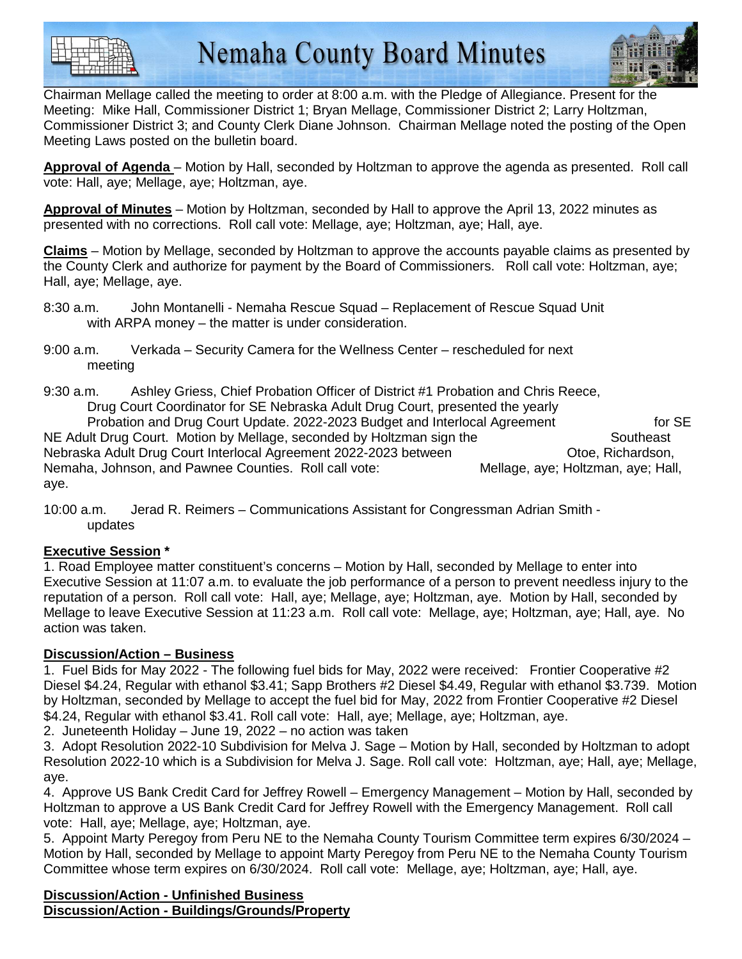



Chairman Mellage called the meeting to order at 8:00 a.m. with the Pledge of Allegiance. Present for the Meeting: Mike Hall, Commissioner District 1; Bryan Mellage, Commissioner District 2; Larry Holtzman, Commissioner District 3; and County Clerk Diane Johnson. Chairman Mellage noted the posting of the Open Meeting Laws posted on the bulletin board.

**Approval of Agenda** – Motion by Hall, seconded by Holtzman to approve the agenda as presented. Roll call vote: Hall, aye; Mellage, aye; Holtzman, aye.

**Approval of Minutes** – Motion by Holtzman, seconded by Hall to approve the April 13, 2022 minutes as presented with no corrections. Roll call vote: Mellage, aye; Holtzman, aye; Hall, aye.

**Claims** – Motion by Mellage, seconded by Holtzman to approve the accounts payable claims as presented by the County Clerk and authorize for payment by the Board of Commissioners. Roll call vote: Holtzman, aye; Hall, aye; Mellage, aye.

8:30 a.m. John Montanelli - Nemaha Rescue Squad – Replacement of Rescue Squad Unit with ARPA money – the matter is under consideration.

9:00 a.m. Verkada – Security Camera for the Wellness Center – rescheduled for next meeting

9:30 a.m. Ashley Griess, Chief Probation Officer of District #1 Probation and Chris Reece, Drug Court Coordinator for SE Nebraska Adult Drug Court, presented the yearly Probation and Drug Court Update. 2022-2023 Budget and Interlocal Agreement for SE NE Adult Drug Court. Motion by Mellage, seconded by Holtzman sign the Southeast Nebraska Adult Drug Court Interlocal Agreement 2022-2023 between Otoe, Richardson, Nemaha, Johnson, and Pawnee Counties. Roll call vote: Mellage, aye; Holtzman, aye; Hall, aye.

10:00 a.m. Jerad R. Reimers – Communications Assistant for Congressman Adrian Smith updates

## **Executive Session \***

1. Road Employee matter constituent's concerns – Motion by Hall, seconded by Mellage to enter into Executive Session at 11:07 a.m. to evaluate the job performance of a person to prevent needless injury to the reputation of a person. Roll call vote: Hall, aye; Mellage, aye; Holtzman, aye. Motion by Hall, seconded by Mellage to leave Executive Session at 11:23 a.m. Roll call vote: Mellage, aye; Holtzman, aye; Hall, aye. No action was taken.

## **Discussion/Action – Business**

1. Fuel Bids for May 2022 - The following fuel bids for May, 2022 were received: Frontier Cooperative #2 Diesel \$4.24, Regular with ethanol \$3.41; Sapp Brothers #2 Diesel \$4.49, Regular with ethanol \$3.739. Motion by Holtzman, seconded by Mellage to accept the fuel bid for May, 2022 from Frontier Cooperative #2 Diesel \$4.24, Regular with ethanol \$3.41. Roll call vote: Hall, aye; Mellage, aye; Holtzman, aye.

2. Juneteenth Holiday – June 19, 2022 – no action was taken

3. Adopt Resolution 2022-10 Subdivision for Melva J. Sage – Motion by Hall, seconded by Holtzman to adopt Resolution 2022-10 which is a Subdivision for Melva J. Sage. Roll call vote: Holtzman, aye; Hall, aye; Mellage, aye.

4. Approve US Bank Credit Card for Jeffrey Rowell – Emergency Management – Motion by Hall, seconded by Holtzman to approve a US Bank Credit Card for Jeffrey Rowell with the Emergency Management. Roll call vote: Hall, aye; Mellage, aye; Holtzman, aye.

5. Appoint Marty Peregoy from Peru NE to the Nemaha County Tourism Committee term expires 6/30/2024 – Motion by Hall, seconded by Mellage to appoint Marty Peregoy from Peru NE to the Nemaha County Tourism Committee whose term expires on 6/30/2024. Roll call vote: Mellage, aye; Holtzman, aye; Hall, aye.

**Discussion/Action - Unfinished Business Discussion/Action - Buildings/Grounds/Property**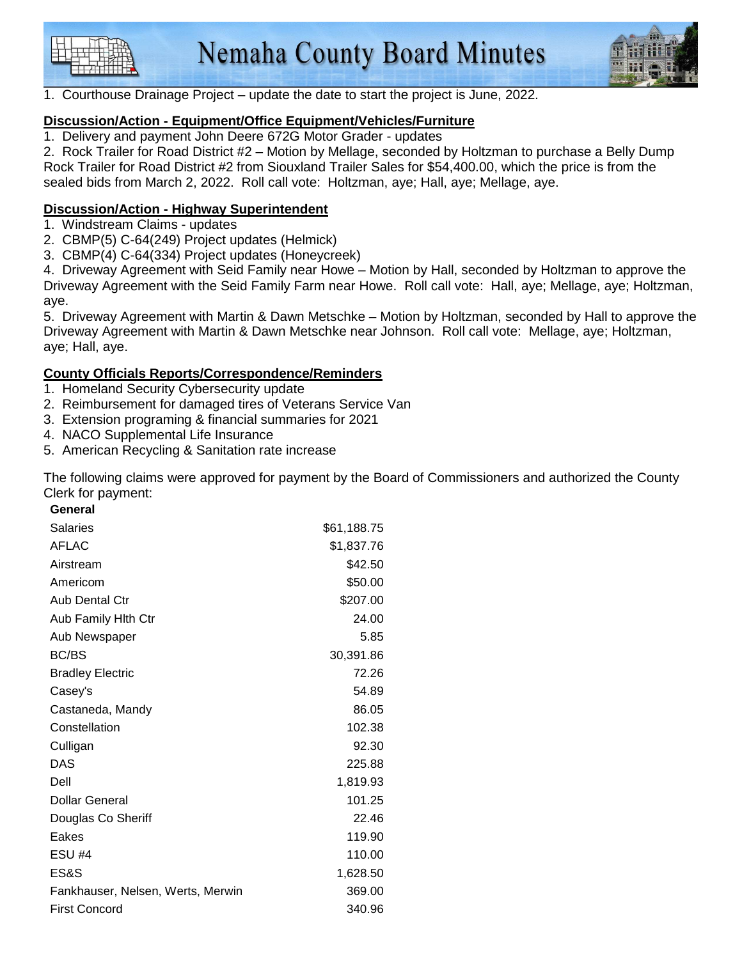



1. Courthouse Drainage Project – update the date to start the project is June, 2022.

## **Discussion/Action - Equipment/Office Equipment/Vehicles/Furniture**

1. Delivery and payment John Deere 672G Motor Grader - updates

2. Rock Trailer for Road District #2 – Motion by Mellage, seconded by Holtzman to purchase a Belly Dump Rock Trailer for Road District #2 from Siouxland Trailer Sales for \$54,400.00, which the price is from the sealed bids from March 2, 2022. Roll call vote: Holtzman, aye; Hall, aye; Mellage, aye.

## **Discussion/Action - Highway Superintendent**

- 1. Windstream Claims updates
- 2. CBMP(5) C-64(249) Project updates (Helmick)
- 3. CBMP(4) C-64(334) Project updates (Honeycreek)

4. Driveway Agreement with Seid Family near Howe – Motion by Hall, seconded by Holtzman to approve the Driveway Agreement with the Seid Family Farm near Howe. Roll call vote: Hall, aye; Mellage, aye; Holtzman, aye.

5. Driveway Agreement with Martin & Dawn Metschke – Motion by Holtzman, seconded by Hall to approve the Driveway Agreement with Martin & Dawn Metschke near Johnson. Roll call vote: Mellage, aye; Holtzman, aye; Hall, aye.

## **County Officials Reports/Correspondence/Reminders**

- 1. Homeland Security Cybersecurity update
- 2. Reimbursement for damaged tires of Veterans Service Van
- 3. Extension programing & financial summaries for 2021
- 4. NACO Supplemental Life Insurance
- 5. American Recycling & Sanitation rate increase

The following claims were approved for payment by the Board of Commissioners and authorized the County Clerk for payment: **General** 

| General                           |             |
|-----------------------------------|-------------|
| <b>Salaries</b>                   | \$61,188.75 |
| <b>AFLAC</b>                      | \$1,837.76  |
| Airstream                         | \$42.50     |
| Americom                          | \$50.00     |
| <b>Aub Dental Ctr</b>             | \$207.00    |
| Aub Family Hith Ctr               | 24.00       |
| Aub Newspaper                     | 5.85        |
| <b>BC/BS</b>                      | 30,391.86   |
| <b>Bradley Electric</b>           | 72.26       |
| Casey's                           | 54.89       |
| Castaneda, Mandy                  | 86.05       |
| Constellation                     | 102.38      |
| Culligan                          | 92.30       |
| DAS                               | 225.88      |
| Dell                              | 1,819.93    |
| Dollar General                    | 101.25      |
| Douglas Co Sheriff                | 22.46       |
| Eakes                             | 119.90      |
| <b>ESU #4</b>                     | 110.00      |
| ES&S                              | 1,628.50    |
| Fankhauser, Nelsen, Werts, Merwin | 369.00      |
| <b>First Concord</b>              | 340.96      |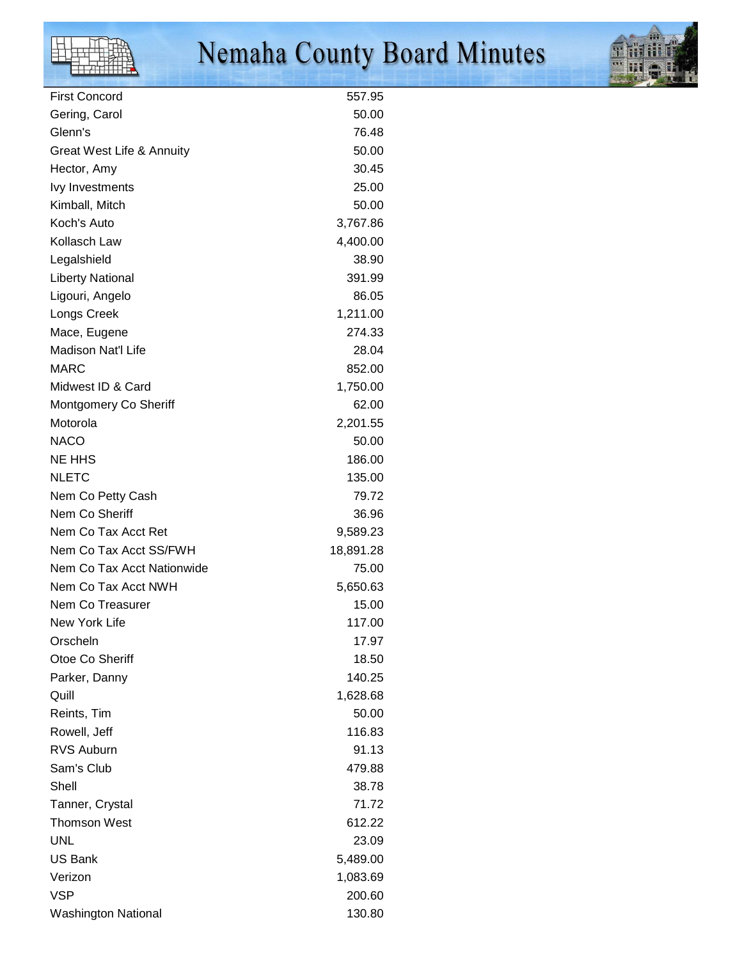

# Nemaha County Board Minutes



| <b>First Concord</b>                 | 557.95    |
|--------------------------------------|-----------|
| Gering, Carol                        | 50.00     |
| Glenn's                              | 76.48     |
| <b>Great West Life &amp; Annuity</b> | 50.00     |
| Hector, Amy                          | 30.45     |
| Ivy Investments                      | 25.00     |
| Kimball, Mitch                       | 50.00     |
| Koch's Auto                          | 3,767.86  |
| Kollasch Law                         | 4,400.00  |
| Legalshield                          | 38.90     |
| <b>Liberty National</b>              | 391.99    |
| Ligouri, Angelo                      | 86.05     |
|                                      | 1,211.00  |
| Longs Creek                          |           |
| Mace, Eugene                         | 274.33    |
| Madison Nat'l Life                   | 28.04     |
| <b>MARC</b>                          | 852.00    |
| Midwest ID & Card                    | 1,750.00  |
| Montgomery Co Sheriff                | 62.00     |
| Motorola                             | 2,201.55  |
| <b>NACO</b>                          | 50.00     |
| <b>NE HHS</b>                        | 186.00    |
| <b>NLETC</b>                         | 135.00    |
| Nem Co Petty Cash                    | 79.72     |
| Nem Co Sheriff                       | 36.96     |
| Nem Co Tax Acct Ret                  | 9,589.23  |
| Nem Co Tax Acct SS/FWH               | 18,891.28 |
| Nem Co Tax Acct Nationwide           | 75.00     |
| Nem Co Tax Acct NWH                  | 5,650.63  |
| Nem Co Treasurer                     | 15.00     |
| New York Life                        | 117.00    |
| Orscheln                             | 17.97     |
| Otoe Co Sheriff                      | 18.50     |
| Parker, Danny                        | 140.25    |
| Quill                                | 1,628.68  |
| Reints, Tim                          | 50.00     |
| Rowell, Jeff                         | 116.83    |
| <b>RVS Auburn</b>                    | 91.13     |
| Sam's Club                           | 479.88    |
| Shell                                | 38.78     |
| Tanner, Crystal                      | 71.72     |
| <b>Thomson West</b>                  | 612.22    |
| <b>UNL</b>                           | 23.09     |
| US Bank                              | 5,489.00  |
| Verizon                              | 1,083.69  |
| VSP                                  | 200.60    |
| <b>Washington National</b>           | 130.80    |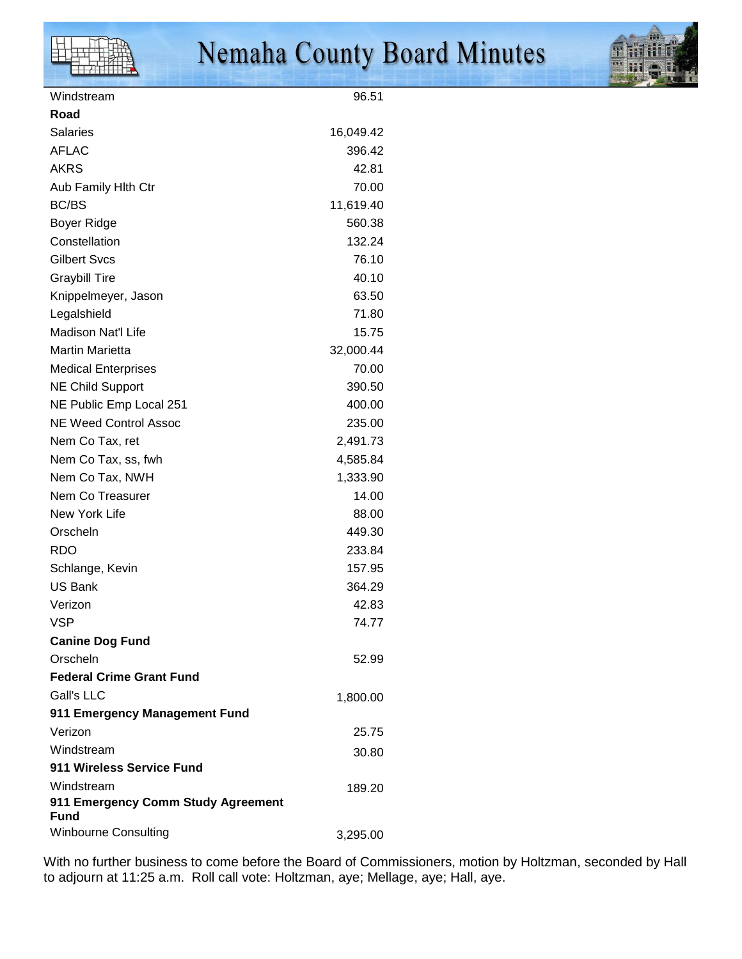

| Windstream                                 | 96.51     |
|--------------------------------------------|-----------|
| Road                                       |           |
| <b>Salaries</b>                            | 16,049.42 |
| <b>AFLAC</b>                               | 396.42    |
| <b>AKRS</b>                                | 42.81     |
| Aub Family Hith Ctr                        | 70.00     |
| <b>BC/BS</b>                               | 11,619.40 |
| Boyer Ridge                                | 560.38    |
| Constellation                              | 132.24    |
| <b>Gilbert Svcs</b>                        | 76.10     |
| <b>Graybill Tire</b>                       | 40.10     |
| Knippelmeyer, Jason                        | 63.50     |
| Legalshield                                | 71.80     |
| <b>Madison Nat'l Life</b>                  | 15.75     |
| <b>Martin Marietta</b>                     | 32,000.44 |
| <b>Medical Enterprises</b>                 | 70.00     |
| <b>NE Child Support</b>                    | 390.50    |
| NE Public Emp Local 251                    | 400.00    |
| <b>NE Weed Control Assoc</b>               | 235.00    |
| Nem Co Tax, ret                            | 2,491.73  |
| Nem Co Tax, ss, fwh                        | 4,585.84  |
| Nem Co Tax, NWH                            | 1,333.90  |
| Nem Co Treasurer                           | 14.00     |
| New York Life                              | 88.00     |
| Orscheln                                   | 449.30    |
| <b>RDO</b>                                 | 233.84    |
| Schlange, Kevin                            | 157.95    |
| <b>US Bank</b>                             | 364.29    |
| Verizon                                    | 42.83     |
| <b>VSP</b>                                 | 74.77     |
| <b>Canine Dog Fund</b>                     |           |
| Orscheln                                   | 52.99     |
| <b>Federal Crime Grant Fund</b>            |           |
| Gall's LLC                                 | 1,800.00  |
| 911 Emergency Management Fund              |           |
| Verizon                                    | 25.75     |
| Windstream                                 | 30.80     |
| 911 Wireless Service Fund                  |           |
| Windstream                                 | 189.20    |
| 911 Emergency Comm Study Agreement<br>Fund |           |
| <b>Winbourne Consulting</b>                | 3,295.00  |

With no further business to come before the Board of Commissioners, motion by Holtzman, seconded by Hall to adjourn at 11:25 a.m. Roll call vote: Holtzman, aye; Mellage, aye; Hall, aye.